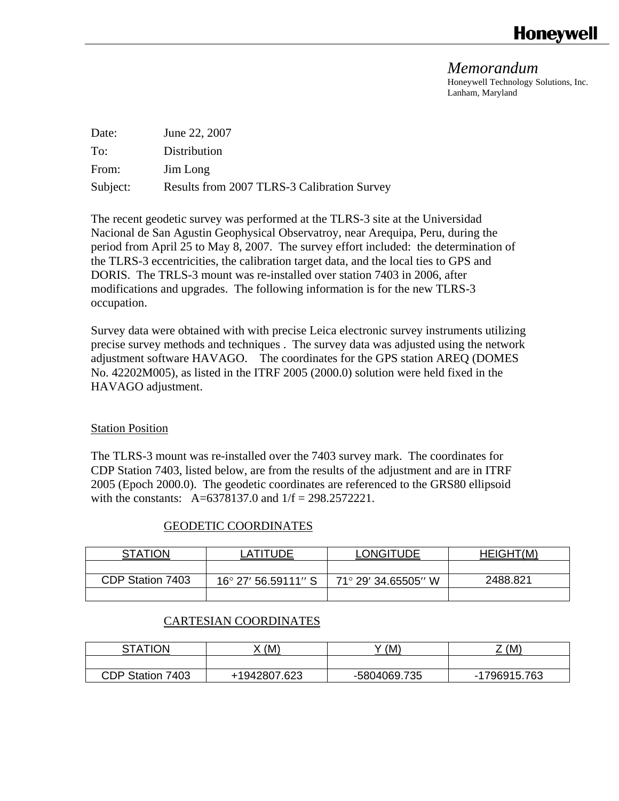# **Honevwell**

*Memorandum*  Honeywell Technology Solutions, Inc. Lanham, Maryland

| Date:    | June 22, 2007                               |
|----------|---------------------------------------------|
| To:      | Distribution                                |
| From:    | Jim Long                                    |
| Subject: | Results from 2007 TLRS-3 Calibration Survey |

The recent geodetic survey was performed at the TLRS-3 site at the Universidad Nacional de San Agustin Geophysical Observatroy, near Arequipa, Peru, during the period from April 25 to May 8, 2007. The survey effort included: the determination of the TLRS-3 eccentricities, the calibration target data, and the local ties to GPS and DORIS. The TRLS-3 mount was re-installed over station 7403 in 2006, after modifications and upgrades. The following information is for the new TLRS-3 occupation.

Survey data were obtained with with precise Leica electronic survey instruments utilizing precise survey methods and techniques . The survey data was adjusted using the network adjustment software HAVAGO. The coordinates for the GPS station AREQ (DOMES No. 42202M005), as listed in the ITRF 2005 (2000.0) solution were held fixed in the HAVAGO adjustment.

## Station Position

The TLRS-3 mount was re-installed over the 7403 survey mark. The coordinates for CDP Station 7403, listed below, are from the results of the adjustment and are in ITRF 2005 (Epoch 2000.0). The geodetic coordinates are referenced to the GRS80 ellipsoid with the constants: A=6378137.0 and 1/f = 298.2572221.

## GEODETIC COORDINATES

| <b>STATION</b>   | ATITI IDE           | <b>LONGITUDE</b>    | HEIGHT(M) |
|------------------|---------------------|---------------------|-----------|
|                  |                     |                     |           |
| CDP Station 7403 | 16° 27' 56.59111″ S | 71° 29′ 34.65505″ W | 2488.821  |
|                  |                     |                     |           |

## CARTESIAN COORDINATES

| <b>STATION</b>      | (M)          | (M)          | Z (M)              |
|---------------------|--------------|--------------|--------------------|
|                     |              |              |                    |
| CDP Station<br>7403 | +1942807.623 | -5804069.735 | 1796915.763<br>- 1 |